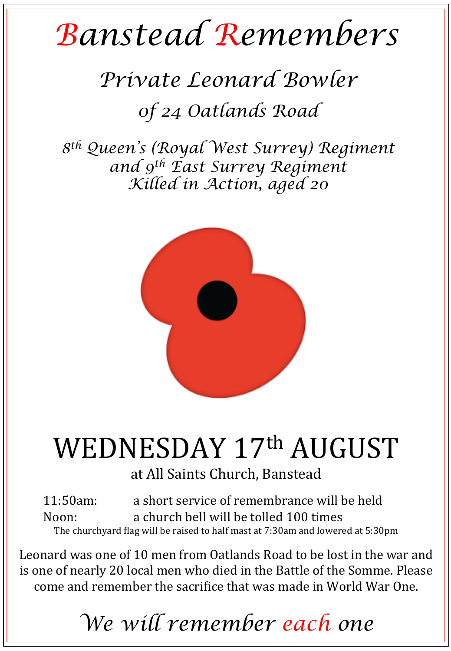## *Banstead Remembers*

## *Private Leonard Bowler 0f 24 Oatlands Road*

*8th Queen's (Royal West Surrey) Regiment and 9th East Surrey Regiment Killed in Action, aged 20* 



## WEDNESDAY 17th AUGUST

at All Saints Church, Banstead

11:50am: a short service of remembrance will be held Noon: a church bell will be tolled 100 times The churchyard flag will be raised to half mast at 7:30am and lowered at 5:30pm

Leonard was one of 10 men from Oatlands Road to be lost in the war and is one of nearly 20 local men who died in the Battle of the Somme. Please come and remember the sacrifice that was made in World War One.

*We will remember each one*